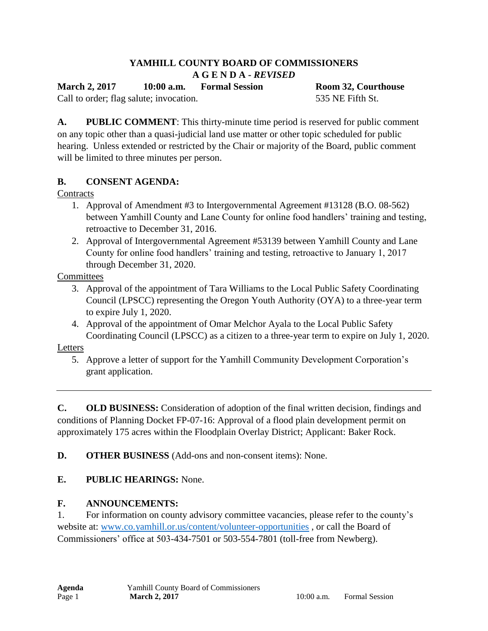#### **YAMHILL COUNTY BOARD OF COMMISSIONERS A G E N D A -** *REVISED*

**March 2, 2017 10:00 a.m. Formal Session Room 32, Courthouse**

Call to order; flag salute; invocation. 535 NE Fifth St.

**A. PUBLIC COMMENT**: This thirty-minute time period is reserved for public comment on any topic other than a quasi-judicial land use matter or other topic scheduled for public hearing. Unless extended or restricted by the Chair or majority of the Board, public comment will be limited to three minutes per person.

# **B. CONSENT AGENDA:**

### **Contracts**

- 1. Approval of Amendment #3 to Intergovernmental Agreement #13128 (B.O. 08-562) between Yamhill County and Lane County for online food handlers' training and testing, retroactive to December 31, 2016.
- 2. Approval of Intergovernmental Agreement #53139 between Yamhill County and Lane County for online food handlers' training and testing, retroactive to January 1, 2017 through December 31, 2020.

**Committees** 

- 3. Approval of the appointment of Tara Williams to the Local Public Safety Coordinating Council (LPSCC) representing the Oregon Youth Authority (OYA) to a three-year term to expire July 1, 2020.
- 4. Approval of the appointment of Omar Melchor Ayala to the Local Public Safety Coordinating Council (LPSCC) as a citizen to a three-year term to expire on July 1, 2020.

#### Letters

5. Approve a letter of support for the Yamhill Community Development Corporation's grant application.

**C. OLD BUSINESS:** Consideration of adoption of the final written decision, findings and conditions of Planning Docket FP-07-16: Approval of a flood plain development permit on approximately 175 acres within the Floodplain Overlay District; Applicant: Baker Rock.

**D. OTHER BUSINESS** (Add-ons and non-consent items): None.

# **E. PUBLIC HEARINGS:** None.

# **F. ANNOUNCEMENTS:**

1. For information on county advisory committee vacancies, please refer to the county's website at: [www.co.yamhill.or.us/content/volunteer-opportunities](http://www.co.yamhill.or.us/content/volunteer-opportunities) , or call the Board of Commissioners' office at 503-434-7501 or 503-554-7801 (toll-free from Newberg).